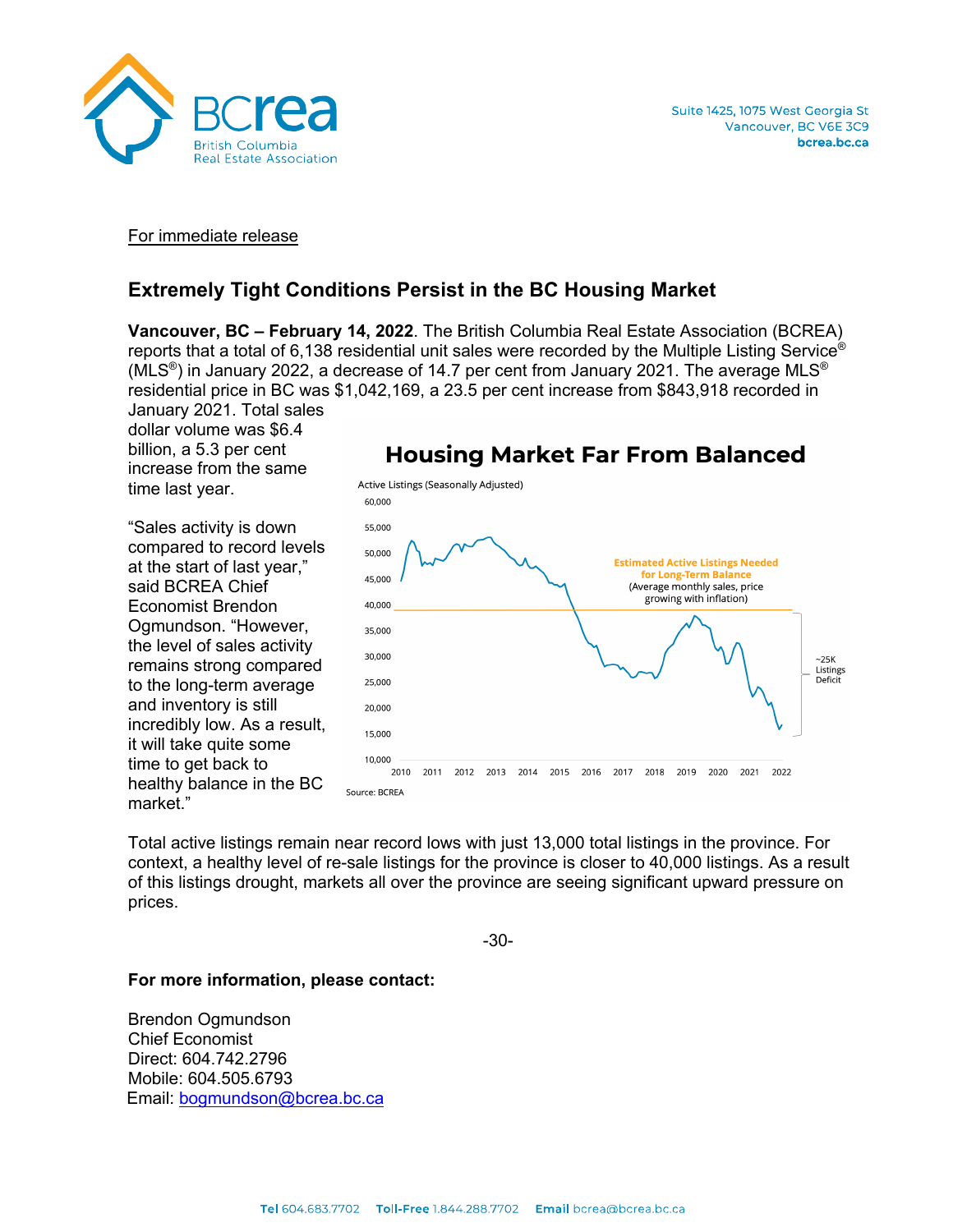

## For immediate release

# **Extremely Tight Conditions Persist in the BC Housing Market**

**Vancouver, BC – February 14, 2022**. The British Columbia Real Estate Association (BCREA) reports that a total of 6,138 residential unit sales were recorded by the Multiple Listing Service® (MLS<sup>®</sup>) in January 2022, a decrease of 14.7 per cent from January 2021. The average MLS<sup>®</sup> residential price in BC was \$1,042,169, a 23.5 per cent increase from \$843,918 recorded in

January 2021. Total sales dollar volume was \$6.4 billion, a 5.3 per cent increase from the same time last year.

"Sales activity is down compared to record levels at the start of last year," said BCREA Chief Economist Brendon Ogmundson. "However, the level of sales activity remains strong compared to the long-term average and inventory is still incredibly low. As a result, it will take quite some time to get back to healthy balance in the BC market."



#### Total active listings remain near record lows with just 13,000 total listings in the province. For context, a healthy level of re-sale listings for the province is closer to 40,000 listings. As a result of this listings drought, markets all over the province are seeing significant upward pressure on prices.

-30-

#### **For more information, please contact:**

Brendon Ogmundson Chief Economist Direct: 604.742.2796 Mobile: 604.505.6793 Email: bogmundson@bcrea.bc.ca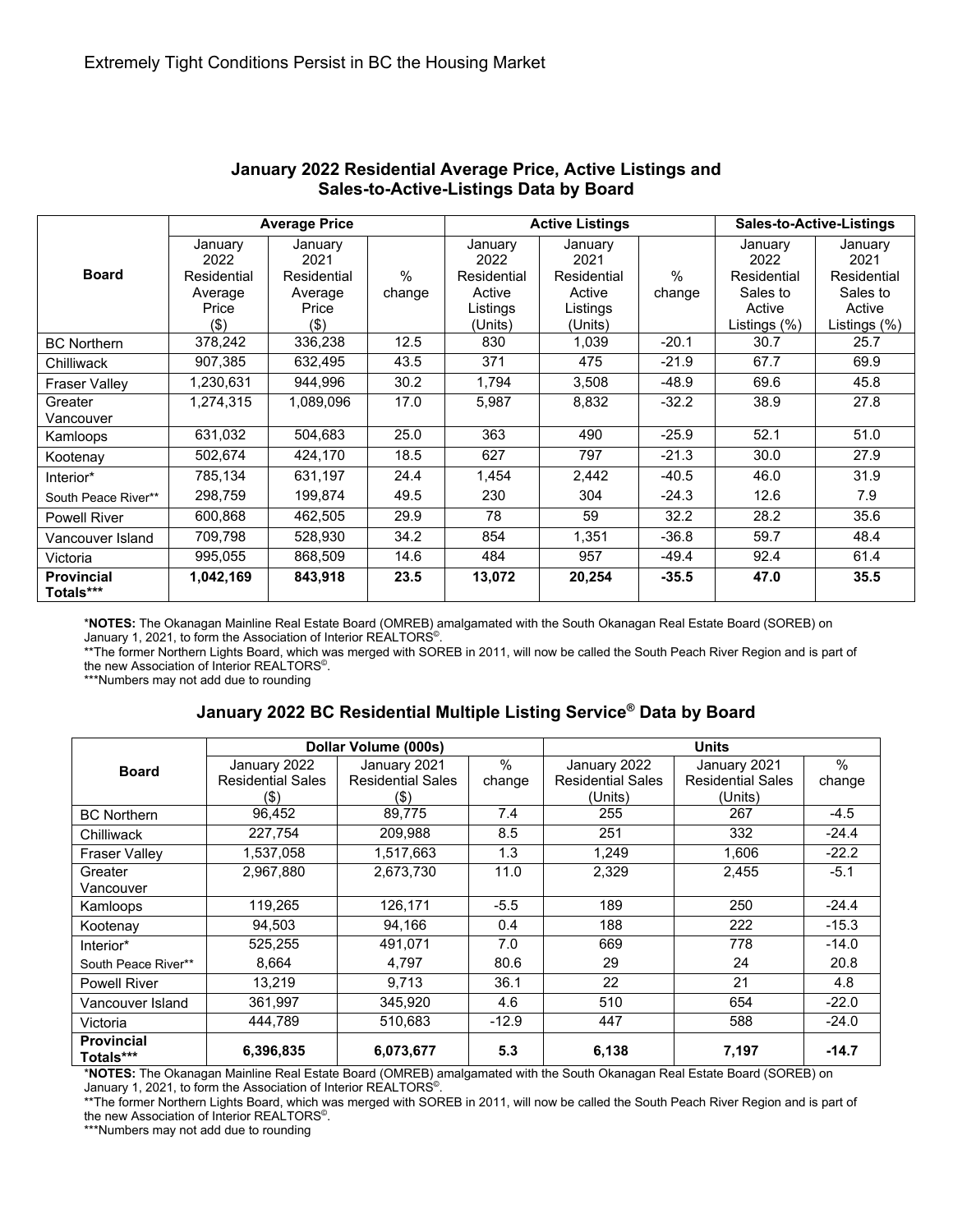| <b>Board</b>                   | <b>Average Price</b>                                          |                                                              |             |                                                                 | <b>Active Listings</b>                                          | <b>Sales-to-Active-Listings</b> |                                                                      |                                                                      |
|--------------------------------|---------------------------------------------------------------|--------------------------------------------------------------|-------------|-----------------------------------------------------------------|-----------------------------------------------------------------|---------------------------------|----------------------------------------------------------------------|----------------------------------------------------------------------|
|                                | January<br>2022<br>Residential<br>Average<br>Price<br>$($ \$) | January<br>2021<br>Residential<br>Average<br>Price<br>$($ \$ | %<br>change | January<br>2022<br>Residential<br>Active<br>Listings<br>(Units) | January<br>2021<br>Residential<br>Active<br>Listings<br>(Units) | $\frac{0}{0}$<br>change         | January<br>2022<br>Residential<br>Sales to<br>Active<br>Listings (%) | January<br>2021<br>Residential<br>Sales to<br>Active<br>Listings (%) |
| <b>BC Northern</b>             | 378,242                                                       | 336,238                                                      | 12.5        | 830                                                             | 1,039                                                           | $-20.1$                         | 30.7                                                                 | 25.7                                                                 |
| Chilliwack                     | 907,385                                                       | 632,495                                                      | 43.5        | 371                                                             | 475                                                             | $-21.9$                         | 67.7                                                                 | 69.9                                                                 |
| <b>Fraser Valley</b>           | 1,230,631                                                     | 944.996                                                      | 30.2        | 1,794                                                           | 3,508                                                           | $-48.9$                         | 69.6                                                                 | 45.8                                                                 |
| Greater<br>Vancouver           | 1,274,315                                                     | 1,089,096                                                    | 17.0        | 5,987                                                           | 8,832                                                           | $-32.2$                         | 38.9                                                                 | 27.8                                                                 |
| Kamloops                       | 631,032                                                       | 504,683                                                      | 25.0        | 363                                                             | 490                                                             | $-25.9$                         | 52.1                                                                 | 51.0                                                                 |
| Kootenay                       | 502,674                                                       | 424,170                                                      | 18.5        | 627                                                             | 797                                                             | $-21.3$                         | 30.0                                                                 | 27.9                                                                 |
| Interior*                      | 785,134                                                       | 631,197                                                      | 24.4        | 1,454                                                           | 2,442                                                           | $-40.5$                         | 46.0                                                                 | 31.9                                                                 |
| South Peace River**            | 298,759                                                       | 199.874                                                      | 49.5        | 230                                                             | 304                                                             | $-24.3$                         | 12.6                                                                 | 7.9                                                                  |
| <b>Powell River</b>            | 600,868                                                       | 462,505                                                      | 29.9        | 78                                                              | 59                                                              | 32.2                            | 28.2                                                                 | 35.6                                                                 |
| Vancouver Island               | 709,798                                                       | 528,930                                                      | 34.2        | 854                                                             | 1,351                                                           | $-36.8$                         | 59.7                                                                 | 48.4                                                                 |
| Victoria                       | 995,055                                                       | 868,509                                                      | 14.6        | 484                                                             | 957                                                             | $-49.4$                         | 92.4                                                                 | 61.4                                                                 |
| <b>Provincial</b><br>Totals*** | 1,042,169                                                     | 843,918                                                      | 23.5        | 13,072                                                          | 20,254                                                          | $-35.5$                         | 47.0                                                                 | 35.5                                                                 |

#### **January 2022 Residential Average Price, Active Listings and Sales-to-Active-Listings Data by Board**

\***NOTES:** The Okanagan Mainline Real Estate Board (OMREB) amalgamated with the South Okanagan Real Estate Board (SOREB) on January 1, 2021, to form the Association of Interior REALTORS<sup>®</sup>.

\*\*The former Northern Lights Board, which was merged with SOREB in 2011, will now be called the South Peach River Region and is part of the new Association of Interior REALTORS<sup>®</sup>.

\*\*\*Numbers may not add due to rounding

### **January 2022 BC Residential Multiple Listing Service® Data by Board**

| <b>Board</b>                   |                          | Dollar Volume (000s)     |         | <b>Units</b>             |                          |         |  |
|--------------------------------|--------------------------|--------------------------|---------|--------------------------|--------------------------|---------|--|
|                                | January 2022             | January 2021             | %       | January 2022             | January 2021             | $\%$    |  |
|                                | <b>Residential Sales</b> | <b>Residential Sales</b> | change  | <b>Residential Sales</b> | <b>Residential Sales</b> | change  |  |
|                                | $($ \$)                  | (\$)                     |         | (Units)                  | (Units)                  |         |  |
| <b>BC Northern</b>             | 96,452                   | 89,775                   | 7.4     | 255                      | 267                      | $-4.5$  |  |
| Chilliwack                     | 227,754                  | 209,988                  | 8.5     | 251                      | 332                      | $-24.4$ |  |
| <b>Fraser Valley</b>           | 1,537,058                | 1,517,663                | 1.3     | 1,249                    | 1,606                    | $-22.2$ |  |
| Greater                        | 2,967,880                | 2,673,730                | 11.0    | 2,329                    | 2,455                    | $-5.1$  |  |
| Vancouver                      |                          |                          |         |                          |                          |         |  |
| Kamloops                       | 119,265                  | 126,171                  | $-5.5$  | 189                      | 250                      | $-24.4$ |  |
| Kootenay                       | 94,503                   | 94,166                   | 0.4     | 188                      | 222                      | $-15.3$ |  |
| Interior*                      | 525,255                  | 491,071                  | 7.0     | 669                      | 778                      | $-14.0$ |  |
| South Peace River**            | 8.664                    | 4,797                    | 80.6    | 29                       | 24                       | 20.8    |  |
| <b>Powell River</b>            | 13,219                   | 9.713                    | 36.1    | 22                       | 21                       | 4.8     |  |
| Vancouver Island               | 361,997                  | 345.920                  | 4.6     | 510                      | 654                      | $-22.0$ |  |
| Victoria                       | 444,789                  | 510,683                  | $-12.9$ | 447                      | 588                      | $-24.0$ |  |
| <b>Provincial</b><br>Totals*** | 6,396,835                | 6,073,677                | 5.3     | 6,138                    | 7,197                    | $-14.7$ |  |

\***NOTES:** The Okanagan Mainline Real Estate Board (OMREB) amalgamated with the South Okanagan Real Estate Board (SOREB) on January 1, 2021, to form the Association of Interior REALTORS<sup>®</sup>.

\*\*The former Northern Lights Board, which was merged with SOREB in 2011, will now be called the South Peach River Region and is part of the new Association of Interior REALTORS©.

\*\*\*Numbers may not add due to rounding